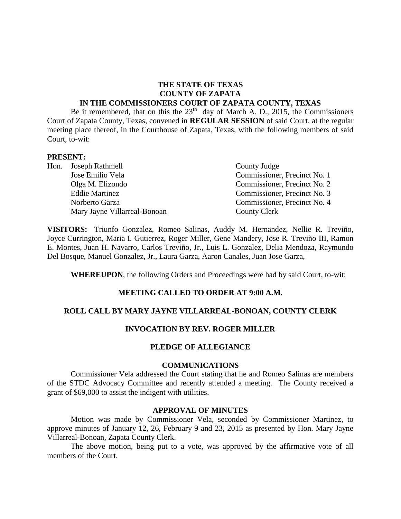#### **THE STATE OF TEXAS COUNTY OF ZAPATA IN THE COMMISSIONERS COURT OF ZAPATA COUNTY, TEXAS**

Be it remembered, that on this the  $23<sup>th</sup>$  day of March A. D., 2015, the Commissioners Court of Zapata County, Texas, convened in **REGULAR SESSION** of said Court, at the regular meeting place thereof, in the Courthouse of Zapata, Texas, with the following members of said Court, to-wit:

#### **PRESENT:**

|  | Hon. Joseph Rathmell         | County Judge                 |
|--|------------------------------|------------------------------|
|  | Jose Emilio Vela             | Commissioner, Precinct No. 1 |
|  | Olga M. Elizondo             | Commissioner, Precinct No. 2 |
|  | <b>Eddie Martinez</b>        | Commissioner, Precinct No. 3 |
|  | Norberto Garza               | Commissioner, Precinct No. 4 |
|  | Mary Jayne Villarreal-Bonoan | <b>County Clerk</b>          |

**VISITORS:** Triunfo Gonzalez, Romeo Salinas, Auddy M. Hernandez, Nellie R. Treviño, Joyce Currington, Maria I. Gutierrez, Roger Miller, Gene Mandery, Jose R. Treviño III, Ramon E. Montes, Juan H. Navarro, Carlos Treviño, Jr., Luis L. Gonzalez, Delia Mendoza, Raymundo Del Bosque, Manuel Gonzalez, Jr., Laura Garza, Aaron Canales, Juan Jose Garza,

**WHEREUPON**, the following Orders and Proceedings were had by said Court, to-wit:

### **MEETING CALLED TO ORDER AT 9:00 A.M.**

#### **ROLL CALL BY MARY JAYNE VILLARREAL-BONOAN, COUNTY CLERK**

### **INVOCATION BY REV. ROGER MILLER**

#### **PLEDGE OF ALLEGIANCE**

#### **COMMUNICATIONS**

Commissioner Vela addressed the Court stating that he and Romeo Salinas are members of the STDC Advocacy Committee and recently attended a meeting. The County received a grant of \$69,000 to assist the indigent with utilities.

#### **APPROVAL OF MINUTES**

Motion was made by Commissioner Vela, seconded by Commissioner Martinez, to approve minutes of January 12, 26, February 9 and 23, 2015 as presented by Hon. Mary Jayne Villarreal-Bonoan, Zapata County Clerk.

The above motion, being put to a vote, was approved by the affirmative vote of all members of the Court.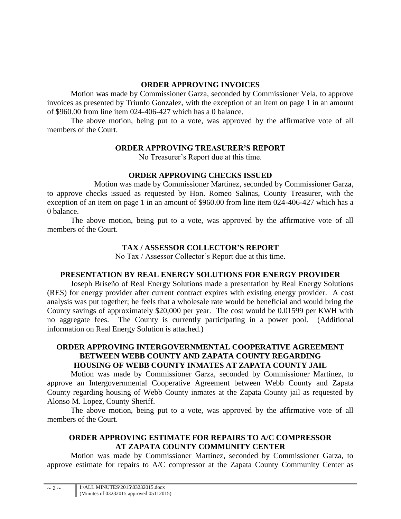# **ORDER APPROVING INVOICES**

Motion was made by Commissioner Garza, seconded by Commissioner Vela, to approve invoices as presented by Triunfo Gonzalez, with the exception of an item on page 1 in an amount of \$960.00 from line item 024-406-427 which has a 0 balance.

The above motion, being put to a vote, was approved by the affirmative vote of all members of the Court.

## **ORDER APPROVING TREASURER'S REPORT**

No Treasurer's Report due at this time.

# **ORDER APPROVING CHECKS ISSUED**

Motion was made by Commissioner Martinez, seconded by Commissioner Garza, to approve checks issued as requested by Hon. Romeo Salinas, County Treasurer, with the exception of an item on page 1 in an amount of \$960.00 from line item 024-406-427 which has a 0 balance.

The above motion, being put to a vote, was approved by the affirmative vote of all members of the Court.

# **TAX / ASSESSOR COLLECTOR'S REPORT**

No Tax / Assessor Collector's Report due at this time.

## **PRESENTATION BY REAL ENERGY SOLUTIONS FOR ENERGY PROVIDER**

Joseph Briseño of Real Energy Solutions made a presentation by Real Energy Solutions (RES) for energy provider after current contract expires with existing energy provider. A cost analysis was put together; he feels that a wholesale rate would be beneficial and would bring the County savings of approximately \$20,000 per year. The cost would be 0.01599 per KWH with no aggregate fees. The County is currently participating in a power pool. (Additional information on Real Energy Solution is attached.)

## **ORDER APPROVING INTERGOVERNMENTAL COOPERATIVE AGREEMENT BETWEEN WEBB COUNTY AND ZAPATA COUNTY REGARDING HOUSING OF WEBB COUNTY INMATES AT ZAPATA COUNTY JAIL**

Motion was made by Commissioner Garza, seconded by Commissioner Martinez, to approve an Intergovernmental Cooperative Agreement between Webb County and Zapata County regarding housing of Webb County inmates at the Zapata County jail as requested by Alonso M. Lopez, County Sheriff.

The above motion, being put to a vote, was approved by the affirmative vote of all members of the Court.

# **ORDER APPROVING ESTIMATE FOR REPAIRS TO A/C COMPRESSOR AT ZAPATA COUNTY COMMUNITY CENTER**

Motion was made by Commissioner Martinez, seconded by Commissioner Garza, to approve estimate for repairs to A/C compressor at the Zapata County Community Center as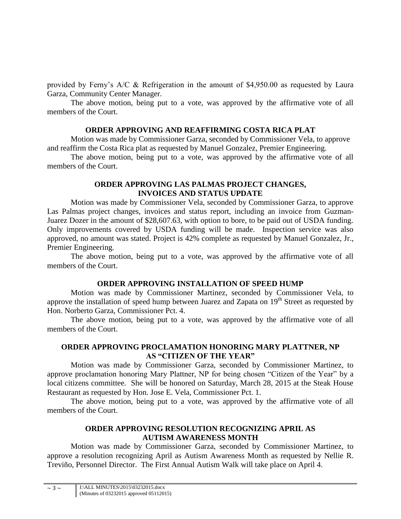provided by Ferny's A/C & Refrigeration in the amount of \$4,950.00 as requested by Laura Garza, Community Center Manager.

The above motion, being put to a vote, was approved by the affirmative vote of all members of the Court.

### **ORDER APPROVING AND REAFFIRMING COSTA RICA PLAT**

Motion was made by Commissioner Garza, seconded by Commissioner Vela, to approve and reaffirm the Costa Rica plat as requested by Manuel Gonzalez, Premier Engineering.

The above motion, being put to a vote, was approved by the affirmative vote of all members of the Court.

### **ORDER APPROVING LAS PALMAS PROJECT CHANGES, INVOICES AND STATUS UPDATE**

Motion was made by Commissioner Vela, seconded by Commissioner Garza, to approve Las Palmas project changes, invoices and status report, including an invoice from Guzman-Juarez Dozer in the amount of \$28,607.63, with option to bore, to be paid out of USDA funding. Only improvements covered by USDA funding will be made. Inspection service was also approved, no amount was stated. Project is 42% complete as requested by Manuel Gonzalez, Jr., Premier Engineering.

The above motion, being put to a vote, was approved by the affirmative vote of all members of the Court.

## **ORDER APPROVING INSTALLATION OF SPEED HUMP**

Motion was made by Commissioner Martinez, seconded by Commissioner Vela, to approve the installation of speed hump between Juarez and Zapata on  $19<sup>th</sup>$  Street as requested by Hon. Norberto Garza, Commissioner Pct. 4.

The above motion, being put to a vote, was approved by the affirmative vote of all members of the Court.

### **ORDER APPROVING PROCLAMATION HONORING MARY PLATTNER, NP AS "CITIZEN OF THE YEAR"**

Motion was made by Commissioner Garza, seconded by Commissioner Martinez, to approve proclamation honoring Mary Plattner, NP for being chosen "Citizen of the Year" by a local citizens committee. She will be honored on Saturday, March 28, 2015 at the Steak House Restaurant as requested by Hon. Jose E. Vela, Commissioner Pct. 1.

The above motion, being put to a vote, was approved by the affirmative vote of all members of the Court.

# **ORDER APPROVING RESOLUTION RECOGNIZING APRIL AS AUTISM AWARENESS MONTH**

Motion was made by Commissioner Garza, seconded by Commissioner Martinez, to approve a resolution recognizing April as Autism Awareness Month as requested by Nellie R. Treviño, Personnel Director. The First Annual Autism Walk will take place on April 4.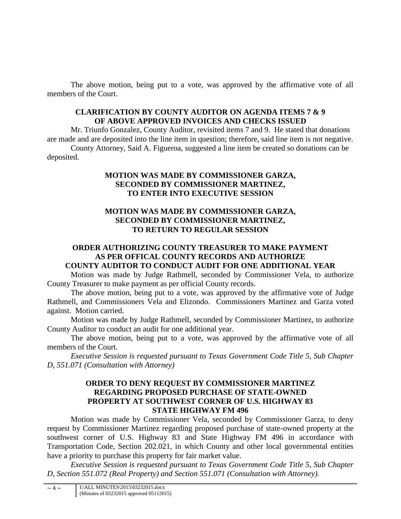The above motion, being put to a vote, was approved by the affirmative vote of all members of the Court.

# **CLARIFICATION BY COUNTY AUDITOR ON AGENDA ITEMS 7 & 9 OF ABOVE APPROVED INVOICES AND CHECKS ISSUED**

Mr. Triunfo Gonzalez, County Auditor, revisited items 7 and 9. He stated that donations are made and are deposited into the line item in question; therefore, said line item is not negative. County Attorney, Said A. Figueroa, suggested a line item be created so donations can be deposited.

## **MOTION WAS MADE BY COMMISSIONER GARZA, SECONDED BY COMMISSIONER MARTINEZ, TO ENTER INTO EXECUTIVE SESSION**

## **MOTION WAS MADE BY COMMISSIONER GARZA, SECONDED BY COMMISSIONER MARTINEZ, TO RETURN TO REGULAR SESSION**

### **ORDER AUTHORIZING COUNTY TREASURER TO MAKE PAYMENT AS PER OFFICAL COUNTY RECORDS AND AUTHORIZE COUNTY AUDITOR TO CONDUCT AUDIT FOR ONE ADDITIONAL YEAR**

Motion was made by Judge Rathmell, seconded by Commissioner Vela, to authorize County Treasurer to make payment as per official County records.

The above motion, being put to a vote, was approved by the affirmative vote of Judge Rathmell, and Commissioners Vela and Elizondo. Commissioners Martinez and Garza voted against. Motion carried.

Motion was made by Judge Rathmell, seconded by Commissioner Martinez, to authorize County Auditor to conduct an audit for one additional year.

The above motion, being put to a vote, was approved by the affirmative vote of all members of the Court.

*Executive Session is requested pursuant to Texas Government Code Title 5, Sub Chapter D, 551.071 (Consultation with Attorney)* 

### **ORDER TO DENY REQUEST BY COMMISSIONER MARTINEZ REGARDING PROPOSED PURCHASE OF STATE-OWNED PROPERTY AT SOUTHWEST CORNER OF U.S. HIGHWAY 83 STATE HIGHWAY FM 496**

Motion was made by Commissioner Vela, seconded by Commissioner Garza, to deny request by Commissioner Martinez regarding proposed purchase of state-owned property at the southwest corner of U.S. Highway 83 and State Highway FM 496 in accordance with Transportation Code, Section 202.021, in which County and other local governmental entities have a priority to purchase this property for fair market value.

*Executive Session is requested pursuant to Texas Government Code Title 5, Sub Chapter D, Section 551.072 (Real Property) and Section 551.071 (Consultation with Attorney).*